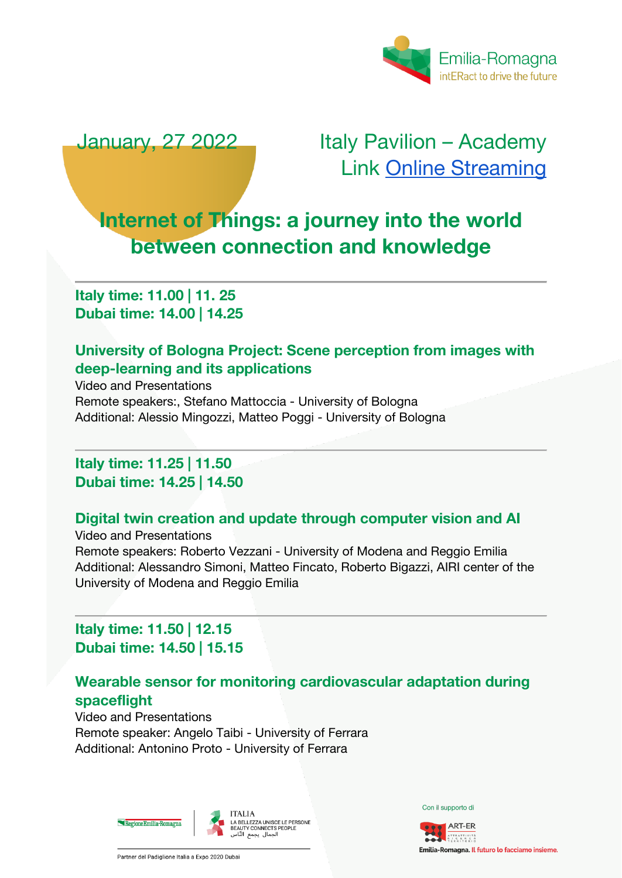

January, 27 2022 Italy Pavilion – Academy Link [Online Streaming](https://www.youtube.com/watch?v=cxnoWHp4brI)

# **Internet of Things: a journey into the world between connection and knowledge**

**Italy time: 11.00 | 11. 25 Dubai time: 14.00 | 14.25**

# **University of Bologna Project: Scene perception from images with deep-learning and its applications**

Video and Presentations Remote speakers:, Stefano Mattoccia - University of Bologna Additional: Alessio Mingozzi, Matteo Poggi - University of Bologna

#### **Italy time: 11.25 | 11.50 Dubai time: 14.25 | 14.50**

#### **Digital twin creation and update through computer vision and AI**

Video and Presentations Remote speakers: Roberto Vezzani - University of Modena and Reggio Emilia Additional: Alessandro Simoni, Matteo Fincato, Roberto Bigazzi, AIRI center of the University of Modena and Reggio Emilia

# **Italy time: 11.50 | 12.15 Dubai time: 14.50 | 15.15**

# **Wearable sensor for monitoring cardiovascular adaptation during spaceflight**

Video and Presentations Remote speaker: Angelo Taibi - University of Ferrara Additional: Antonino Proto - University of Ferrara



Con il supporto di